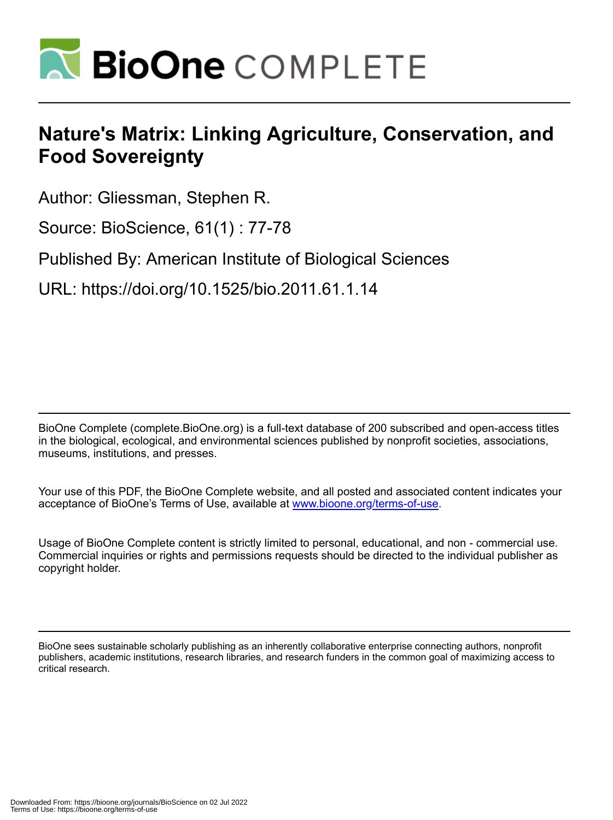

# **Nature's Matrix: Linking Agriculture, Conservation, and Food Sovereignty**

Author: Gliessman, Stephen R.

Source: BioScience, 61(1) : 77-78

Published By: American Institute of Biological Sciences

URL: https://doi.org/10.1525/bio.2011.61.1.14

BioOne Complete (complete.BioOne.org) is a full-text database of 200 subscribed and open-access titles in the biological, ecological, and environmental sciences published by nonprofit societies, associations, museums, institutions, and presses.

Your use of this PDF, the BioOne Complete website, and all posted and associated content indicates your acceptance of BioOne's Terms of Use, available at www.bioone.org/terms-of-use.

Usage of BioOne Complete content is strictly limited to personal, educational, and non - commercial use. Commercial inquiries or rights and permissions requests should be directed to the individual publisher as copyright holder.

BioOne sees sustainable scholarly publishing as an inherently collaborative enterprise connecting authors, nonprofit publishers, academic institutions, research libraries, and research funders in the common goal of maximizing access to critical research.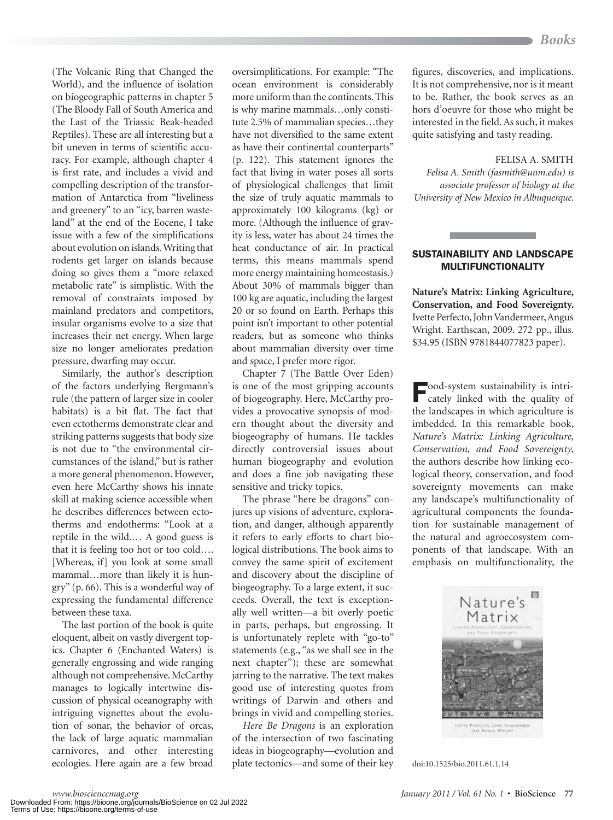(The Volcanic Ring that Changed the World), and the influence of isolation on biogeographic patterns in chapter 5 (The Bloody Fall of South America and the Last of the Triassic Beak-headed Reptiles). These are all interesting but a bit uneven in terms of scientific accuracy. For example, although chapter 4 is first rate, and includes a vivid and compelling description of the transformation of Antarctica from "liveliness and greenery" to an "icy, barren wasteland" at the end of the Eocene, I take issue with a few of the simplifications about evolution on islands. Writing that rodents get larger on islands because doing so gives them a "more relaxed metabolic rate" is simplistic. With the removal of constraints imposed by mainland predators and competitors, insular organisms evolve to a size that increases their net energy. When large size no longer ameliorates predation pressure, dwarfing may occur.

Similarly, the author's description of the factors underlying Bergmann's rule (the pattern of larger size in cooler habitats) is a bit flat. The fact that even ectotherms demonstrate clear and striking patterns suggests that body size is not due to "the environmental circumstances of the island," but is rather a more general phenomenon. However, even here McCarthy shows his innate skill at making science accessible when he describes differences between ectotherms and endotherms: "Look at a reptile in the wild.… A good guess is that it is feeling too hot or too cold…. [Whereas, if] you look at some small mammal…more than likely it is hungry" (p. 66). This is a wonderful way of expressing the fundamental difference between these taxa.

The last portion of the book is quite eloquent, albeit on vastly divergent topics. Chapter 6 (Enchanted Waters) is generally engrossing and wide ranging although not comprehensive. McCarthy manages to logically intertwine discussion of physical oceanography with intriguing vignettes about the evolution of sonar, the behavior of orcas, the lack of large aquatic mammalian carnivores, and other interesting ecologies. Here again are a few broad plate tectonics—and some of their key doi:10.1525/bio.2011.61.1.14

oversimplifications. For example: "The ocean environment is considerably more uniform than the continents. This is why marine mammals…only constitute 2.5% of mammalian species…they have not diversified to the same extent as have their continental counterparts" (p. 122). This statement ignores the fact that living in water poses all sorts of physiological challenges that limit the size of truly aquatic mammals to approximately 100 kilograms (kg) or more. (Although the influence of gravity is less, water has about 24 times the heat conductance of air. In practical terms, this means mammals spend more energy maintaining homeostasis.) About 30% of mammals bigger than 100 kg are aquatic, including the largest 20 or so found on Earth. Perhaps this point isn't important to other potential readers, but as someone who thinks about mammalian diversity over time and space, I prefer more rigor.

Chapter 7 (The Battle Over Eden) is one of the most gripping accounts of biogeography. Here, McCarthy provides a provocative synopsis of modern thought about the diversity and biogeography of humans. He tackles directly controversial issues about human biogeography and evolution and does a fine job navigating these sensitive and tricky topics.

The phrase "here be dragons" conjures up visions of adventure, exploration, and danger, although apparently it refers to early efforts to chart biological distributions. The book aims to convey the same spirit of excitement and discovery about the discipline of biogeography. To a large extent, it succeeds. Overall, the text is exceptionally well written—a bit overly poetic in parts, perhaps, but engrossing. It is unfortunately replete with "go-to" statements (e.g., "as we shall see in the next chapter"); these are somewhat jarring to the narrative. The text makes good use of interesting quotes from writings of Darwin and others and brings in vivid and compelling stories.

*Here Be Dragons* is an exploration of the intersection of two fascinating ideas in biogeography—evolution and plate tectonics—and some of their key figures, discoveries, and implications. It is not comprehensive, nor is it meant to be. Rather, the book serves as an hors d'oeuvre for those who might be interested in the field. As such, it makes quite satisfying and tasty reading.

#### FELISA A. SMITH

*Felisa A. Smith (fasmith@unm.edu) is associate professor of biology at the University of New Mexico in Albuquerque.*

## SUSTAINABILITY AND LANDSCAPE MULTIFUNCTIONALITY

**Nature's Matrix: Linking Agriculture, Conservation, and Food Sovereignty.**  Ivette Perfecto, John Vandermeer, Angus Wright. Earthscan, 2009. 272 pp., illus. \$34.95 (ISBN 9781844077823 paper).

Food-system sustainability is intri-cately linked with the quality of the landscapes in which agriculture is imbedded. In this remarkable book, *Nature's Matrix: Linking Agriculture, Conservation, and Food Sovereignty,* the authors describe how linking ecological theory, conservation, and food sovereignty movements can make any landscape's multifunctionality of agricultural components the foundation for sustainable management of the natural and agroecosystem components of that landscape. With an emphasis on multifunctionality, the